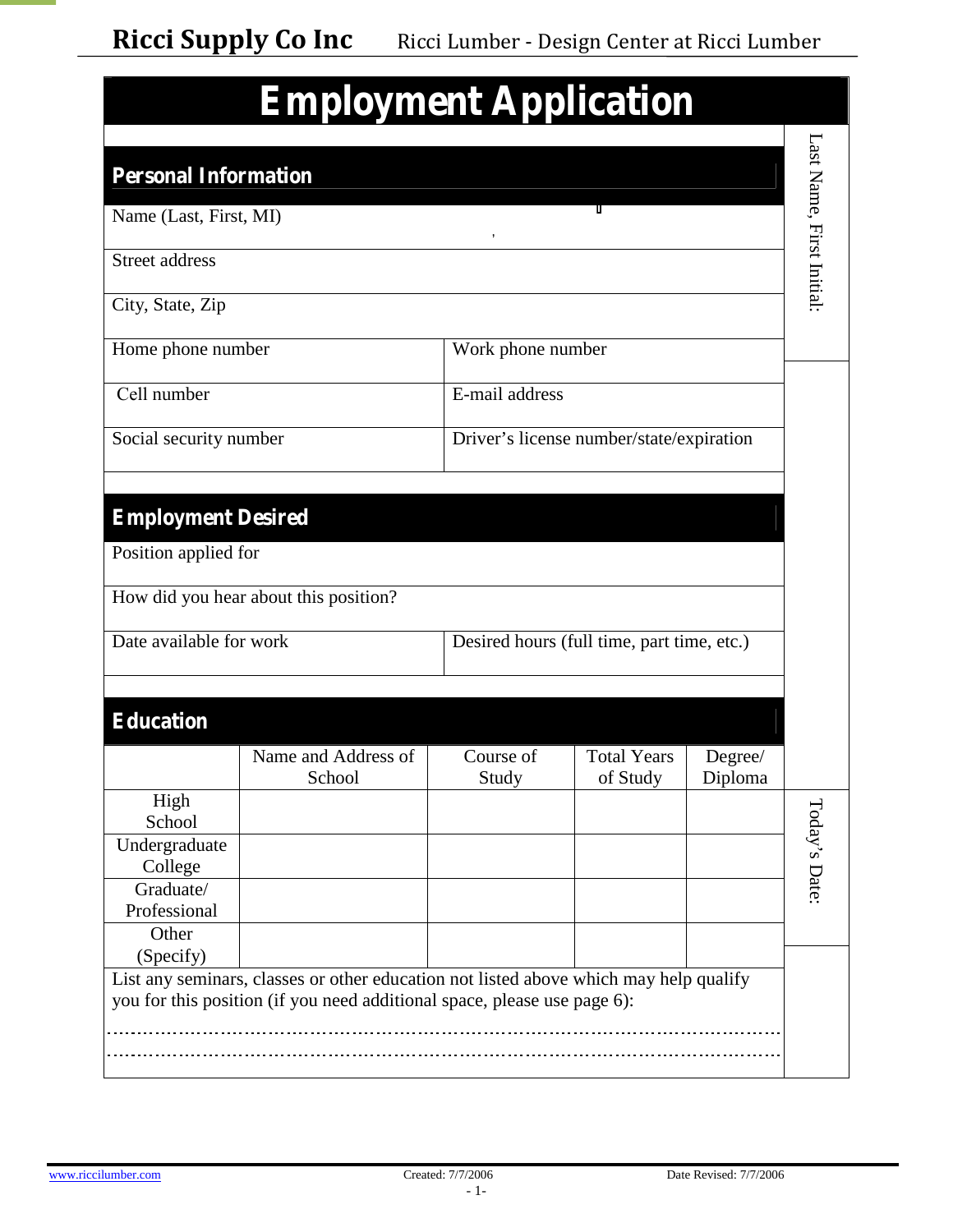|  | <b>Employment Application</b> |  |
|--|-------------------------------|--|
|--|-------------------------------|--|

| <b>Personal Information</b>                       |                                                                                                                                                                   |                    |                                            |                    | Last Name, First Initial: |
|---------------------------------------------------|-------------------------------------------------------------------------------------------------------------------------------------------------------------------|--------------------|--------------------------------------------|--------------------|---------------------------|
| Name (Last, First, MI)                            |                                                                                                                                                                   |                    |                                            |                    |                           |
| Street address                                    |                                                                                                                                                                   | ,                  |                                            |                    |                           |
| City, State, Zip                                  |                                                                                                                                                                   |                    |                                            |                    |                           |
| Home phone number                                 |                                                                                                                                                                   | Work phone number  |                                            |                    |                           |
| Cell number                                       |                                                                                                                                                                   | E-mail address     |                                            |                    |                           |
| Social security number                            |                                                                                                                                                                   |                    | Driver's license num ber/state/expiration  |                    |                           |
|                                                   |                                                                                                                                                                   |                    |                                            |                    |                           |
| <b>Employment Desired</b><br>Position applied for |                                                                                                                                                                   |                    |                                            |                    |                           |
|                                                   | How did you hear about this position?                                                                                                                             |                    |                                            |                    |                           |
| Date available for work                           |                                                                                                                                                                   |                    | Desired hours (full time, part time, etc.) |                    |                           |
|                                                   |                                                                                                                                                                   |                    |                                            |                    |                           |
| <b>Education</b>                                  |                                                                                                                                                                   |                    |                                            |                    |                           |
|                                                   | Name and Address of<br>School                                                                                                                                     | Course of<br>Study | <b>Total Years</b><br>of Study             | Degree/<br>Diploma |                           |
| High                                              |                                                                                                                                                                   |                    |                                            |                    | $\circ$                   |
| School                                            |                                                                                                                                                                   |                    |                                            |                    |                           |
| Undergraduate<br>College                          |                                                                                                                                                                   |                    |                                            |                    |                           |
| Graduate/                                         |                                                                                                                                                                   |                    |                                            |                    | ay's D ate:               |
| Professional                                      |                                                                                                                                                                   |                    |                                            |                    |                           |
| Other                                             |                                                                                                                                                                   |                    |                                            |                    |                           |
| (Specify)                                         |                                                                                                                                                                   |                    |                                            |                    |                           |
|                                                   | List any seminars, classes or other education not listed above which may help qualify<br>you for this position (if you need additional space, please use page 6): |                    |                                            |                    |                           |
|                                                   |                                                                                                                                                                   |                    |                                            |                    |                           |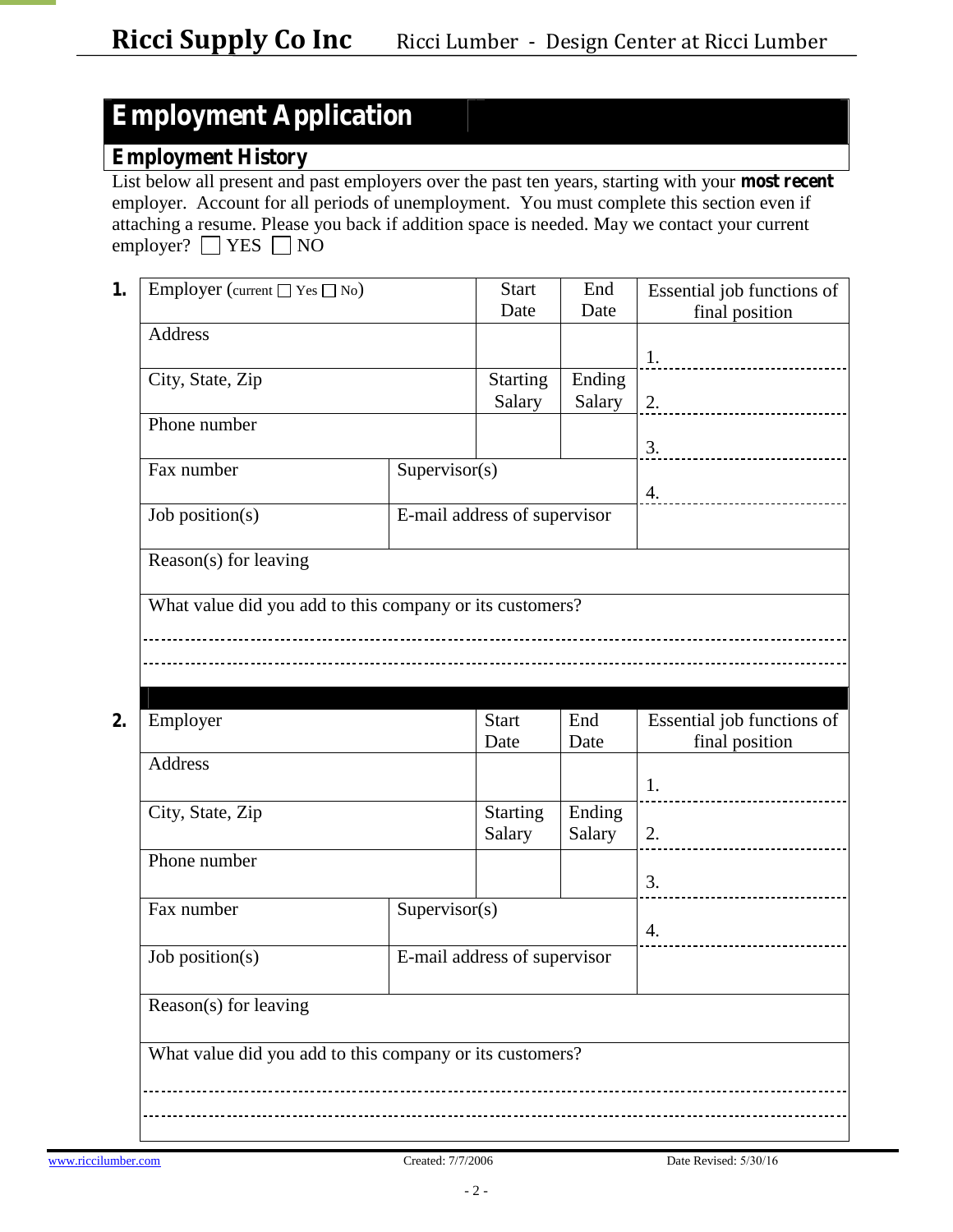## **Employment Application**

### **Employment History**

List below all present and past employers over the past ten years, starting with your **most recent** employer. Account for all periods of unemployment. You must complete this section even if attaching a resume. Please you back if addition space is needed. May we contact your current employer?  $\Box$  YES  $\Box$  NO

| 1. | Employer (current $\Box$ Yes $\Box$ No)                  |               | <b>Start</b>                 | End    | Essential job functions of  |
|----|----------------------------------------------------------|---------------|------------------------------|--------|-----------------------------|
|    |                                                          |               | Date                         | Date   | final position              |
|    | Address                                                  |               |                              |        |                             |
|    |                                                          |               |                              |        | 1.                          |
|    | City, State, Zip                                         |               | <b>Starting</b>              | Ending |                             |
|    |                                                          |               | Salary                       | Salary | 2.                          |
|    | Phone number                                             |               |                              |        |                             |
|    |                                                          |               |                              |        | 3.<br>--------------------- |
|    | Fax number                                               | Supervisor(s) |                              |        |                             |
|    |                                                          |               |                              |        | 4.                          |
|    | Job position(s)                                          |               | E-mail address of supervisor |        |                             |
|    |                                                          |               |                              |        |                             |
|    | Reason(s) for leaving                                    |               |                              |        |                             |
|    |                                                          |               |                              |        |                             |
|    | What value did you add to this company or its customers? |               |                              |        |                             |
|    |                                                          |               |                              |        |                             |
|    |                                                          |               |                              |        |                             |
|    |                                                          |               |                              |        |                             |

| Employer                                                 |               | <b>Start</b>                 | End    | Essential job functions of |  |
|----------------------------------------------------------|---------------|------------------------------|--------|----------------------------|--|
|                                                          |               | Date                         | Date   | final position             |  |
| Address                                                  |               |                              |        |                            |  |
|                                                          |               |                              |        | 1.                         |  |
| City, State, Zip                                         |               | <b>Starting</b>              | Ending |                            |  |
|                                                          |               | Salary                       | Salary | 2.                         |  |
| Phone number                                             |               |                              |        |                            |  |
|                                                          |               |                              |        | 3.                         |  |
| Fax number                                               | Supervisor(s) |                              |        |                            |  |
|                                                          |               |                              |        | 4.                         |  |
| Job position( $s$ )                                      |               | E-mail address of supervisor |        |                            |  |
| Reason(s) for leaving                                    |               |                              |        |                            |  |
| What value did you add to this company or its customers? |               |                              |        |                            |  |
|                                                          |               |                              |        |                            |  |
|                                                          |               |                              |        |                            |  |
|                                                          |               |                              |        |                            |  |
|                                                          |               |                              |        |                            |  |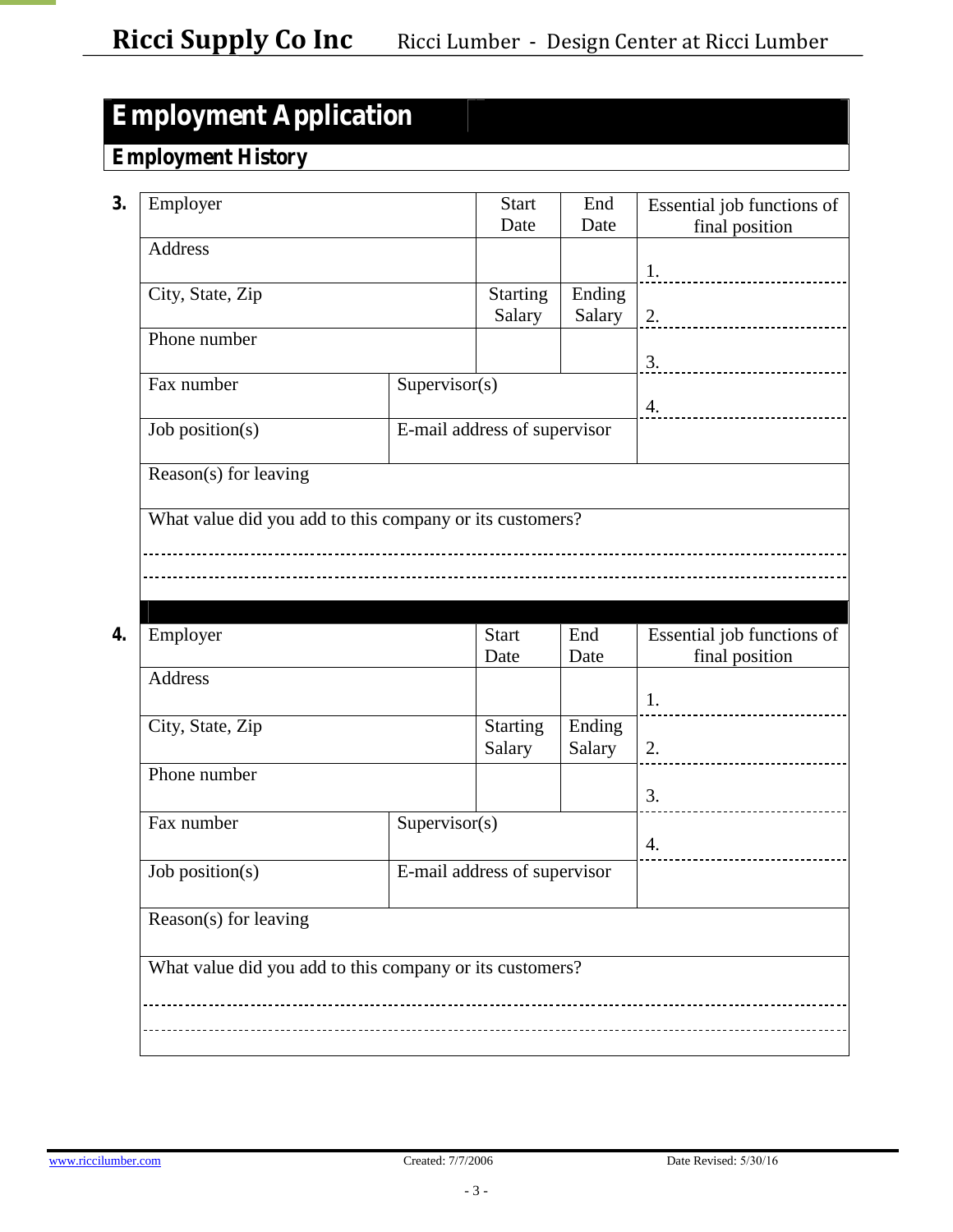## **Employment Application**

### **Employment History**

| 3. |                                                          |               |                              |             |                                              |
|----|----------------------------------------------------------|---------------|------------------------------|-------------|----------------------------------------------|
|    | Employer                                                 |               | <b>Start</b><br>Date         | End<br>Date | Essential job functions of<br>final position |
|    | Address                                                  |               |                              |             |                                              |
|    |                                                          |               |                              |             | 1.<br>----------------------                 |
|    | City, State, Zip                                         |               | <b>Starting</b>              | Ending      |                                              |
|    |                                                          |               | Salary                       | Salary      | 2.                                           |
|    | Phone number                                             |               |                              |             | 3.                                           |
|    | Supervisor(s)<br>Fax number                              |               |                              |             |                                              |
|    |                                                          |               |                              |             | 4.                                           |
|    | Job position(s)                                          |               | E-mail address of supervisor |             |                                              |
|    | Reason(s) for leaving                                    |               |                              |             |                                              |
|    | What value did you add to this company or its customers? |               |                              |             |                                              |
|    |                                                          |               |                              |             |                                              |
|    |                                                          |               |                              |             |                                              |
|    |                                                          |               |                              |             |                                              |
| 4. |                                                          |               | <b>Start</b>                 | End         | Essential job functions of                   |
|    | Employer                                                 |               | Date                         | Date        | final position                               |
|    | Address                                                  |               |                              |             |                                              |
|    |                                                          |               |                              |             | 1.                                           |
|    |                                                          |               |                              |             |                                              |
|    | City, State, Zip                                         |               | <b>Starting</b>              | Ending      |                                              |
|    |                                                          |               | Salary                       | Salary      | 2.<br>----------------------                 |
|    | Phone number                                             |               |                              |             | 3.                                           |
|    | Fax number                                               | Supervisor(s) |                              |             |                                              |
|    |                                                          |               |                              |             | 4.                                           |
|    | Job position(s)                                          |               | E-mail address of supervisor |             |                                              |
|    |                                                          |               |                              |             |                                              |
|    | Reason(s) for leaving                                    |               |                              |             |                                              |
|    | What value did you add to this company or its customers? |               |                              |             |                                              |
|    |                                                          |               |                              |             |                                              |
|    |                                                          |               |                              |             |                                              |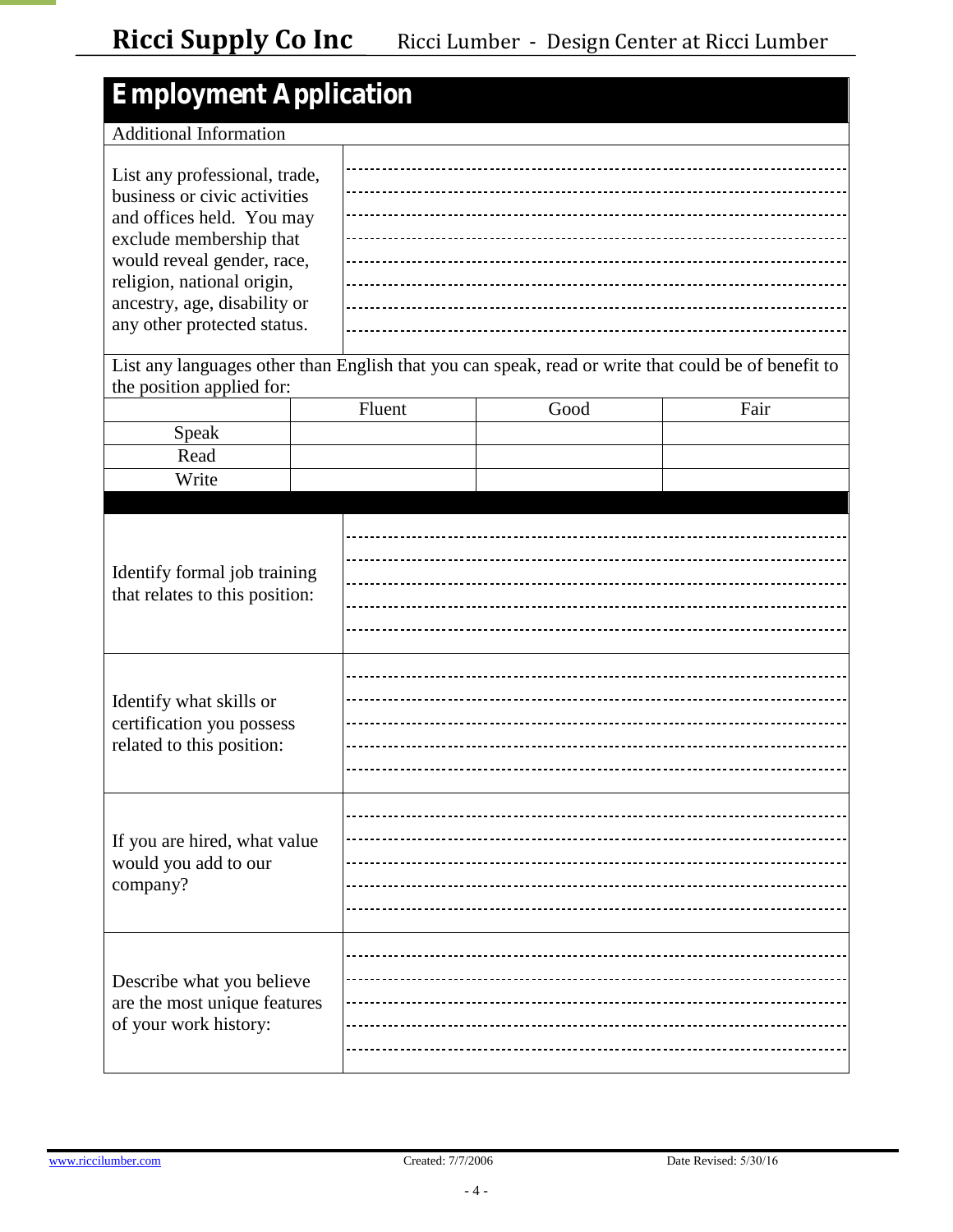| <b>Employment Application</b>                                                                                                                                                                                                                                                                                 |  |        |                                     |                                                                                                     |
|---------------------------------------------------------------------------------------------------------------------------------------------------------------------------------------------------------------------------------------------------------------------------------------------------------------|--|--------|-------------------------------------|-----------------------------------------------------------------------------------------------------|
| <b>Additional Information</b>                                                                                                                                                                                                                                                                                 |  |        |                                     |                                                                                                     |
| List any professional, trade,<br>business or civic activities<br>and offices held. You may<br>exclude membership that<br>would reveal gender, race,<br>religion, national origin,<br>ancestry, age, disability or<br>any other protected status.                                                              |  |        |                                     |                                                                                                     |
| the position applied for:                                                                                                                                                                                                                                                                                     |  |        |                                     | List any languages other than English that you can speak, read or write that could be of benefit to |
|                                                                                                                                                                                                                                                                                                               |  | Fluent | Good                                | Fair                                                                                                |
| Speak                                                                                                                                                                                                                                                                                                         |  |        |                                     |                                                                                                     |
| Read                                                                                                                                                                                                                                                                                                          |  |        |                                     |                                                                                                     |
| Write                                                                                                                                                                                                                                                                                                         |  |        |                                     |                                                                                                     |
| Identify formal job training<br>that relates to this position:<br>Identify what skills or<br>certification you possess<br>related to this position:<br>If you are hired, what value<br>would you add to our<br>company?<br>Describe what you believe<br>are the most unique features<br>of your work history: |  |        |                                     |                                                                                                     |
|                                                                                                                                                                                                                                                                                                               |  |        | ----------------------------------- |                                                                                                     |
|                                                                                                                                                                                                                                                                                                               |  |        |                                     |                                                                                                     |
|                                                                                                                                                                                                                                                                                                               |  |        |                                     |                                                                                                     |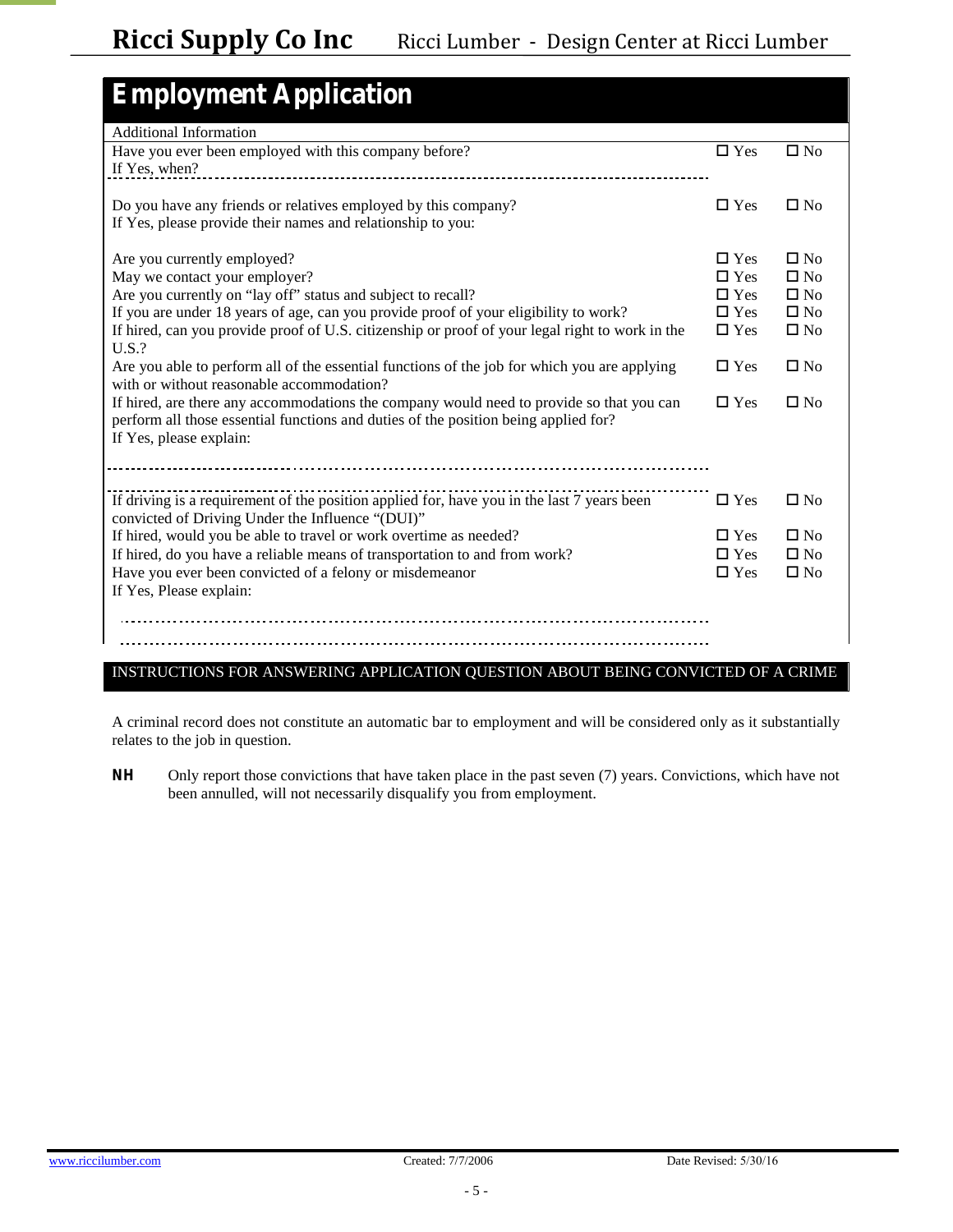| <b>Employment Application</b>                                                                                                                                                                                                                                                                                                                                                                                                                                                                                                                                                                                                                                                                   |                                                                                                               |                                                                                                           |
|-------------------------------------------------------------------------------------------------------------------------------------------------------------------------------------------------------------------------------------------------------------------------------------------------------------------------------------------------------------------------------------------------------------------------------------------------------------------------------------------------------------------------------------------------------------------------------------------------------------------------------------------------------------------------------------------------|---------------------------------------------------------------------------------------------------------------|-----------------------------------------------------------------------------------------------------------|
| <b>Additional Information</b>                                                                                                                                                                                                                                                                                                                                                                                                                                                                                                                                                                                                                                                                   |                                                                                                               |                                                                                                           |
| Have you ever been employed with this company before?<br>If Yes, when?                                                                                                                                                                                                                                                                                                                                                                                                                                                                                                                                                                                                                          | $\Box$ Yes                                                                                                    | $\square$ No                                                                                              |
| Do you have any friends or relatives employed by this company?<br>If Yes, please provide their names and relationship to you:                                                                                                                                                                                                                                                                                                                                                                                                                                                                                                                                                                   | $\square$ Yes                                                                                                 | $\square$ No                                                                                              |
| Are you currently employed?<br>May we contact your employer?<br>A re you currently on "lay off" status and subject to recall?<br>If you are under 18 years of age, can you provide proof of your eligibility to work?<br>If hired, can you provide proof of U.S. citizenship or proof of your legal right to work in the<br>$U.S.$ ?<br>Are you able to perform all of the essential functions of the job for which you are applying<br>with or without reasonable accommodation?<br>If hired, are there any accommodations the company would need to provide so that you can<br>perform all those essential functions and duties of the position being applied for?<br>If Yes, please explain: | $\square$ Yes<br>$\Box$ Yes<br>$\Box$ Yes<br>$\square$ Yes<br>$\square$ Yes<br>$\square$ Yes<br>$\square$ Yes | $\square$ No<br>$\Box$ No<br>$\square$ No<br>$\square$ No<br>$\square$ No<br>$\square$ No<br>$\square$ No |
| If driving is a requirement of the position applied for, have you in the last 7 years been<br>convicted of D riving U nder the Influence "(D U I)"<br>If hired, would you be able to travel or work overtime as needed?<br>If hired, do you have a reliable means of transportation to and from work?<br>Have you ever been convicted of a felony or misdemeanor<br>If Yes, Please explain:                                                                                                                                                                                                                                                                                                     | $\Box$ Yes<br>$\square$ Yes<br>$\square$ Yes<br>$\square$ Yes                                                 | $\square$ No<br>$\square$ No<br>$\square$ No<br>$\square$ No                                              |

### INSTRUCTIONS FOR ANSWERING APPLICATION QUESTION ABOUT BEING CONVICTED OF A CRIME

A criminal record does not constitute an automatic bar to employment and will be considered only as it substantially relates to the job in question.

**NH** Only report those convictions that have taken place in the past seven (7) years. Convictions, which have not been annulled, will not necessarily disqualify you from employment.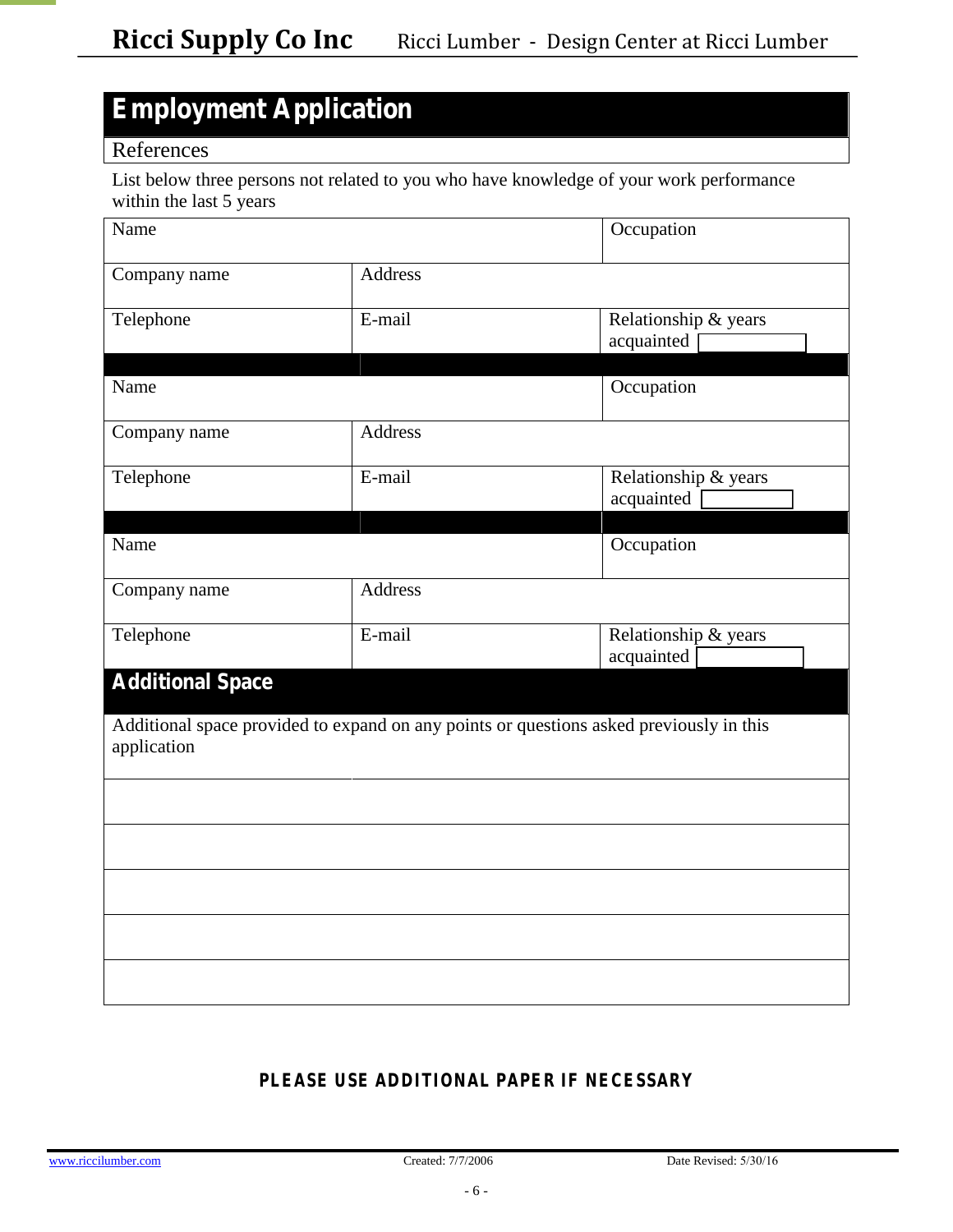## **Employment Application**

### References

List below three persons not related to you who have knowledge of your work performance within the last 5 years

| Name                    |                                                                                         | Occupation                         |
|-------------------------|-----------------------------------------------------------------------------------------|------------------------------------|
| Company name            | <b>Address</b>                                                                          |                                    |
| Telephone               | E-mail                                                                                  | Relationship & years<br>acquainted |
| Name                    |                                                                                         | Occupation                         |
| Company name            | <b>Address</b>                                                                          |                                    |
| Telephone               | E-mail                                                                                  | Relationship & years<br>acquainted |
| Name                    |                                                                                         | Occupation                         |
| Company name            | <b>Address</b>                                                                          |                                    |
| Telephone               | E-mail                                                                                  | Relationship & years<br>acquainted |
| <b>Additional Space</b> |                                                                                         |                                    |
| application             | Additional space provided to expand on any points or questions asked previously in this |                                    |
|                         |                                                                                         |                                    |
|                         |                                                                                         |                                    |
|                         |                                                                                         |                                    |
|                         |                                                                                         |                                    |
|                         |                                                                                         |                                    |

### *PLEASE USE ADDITIONAL PAPER IF NECESSARY*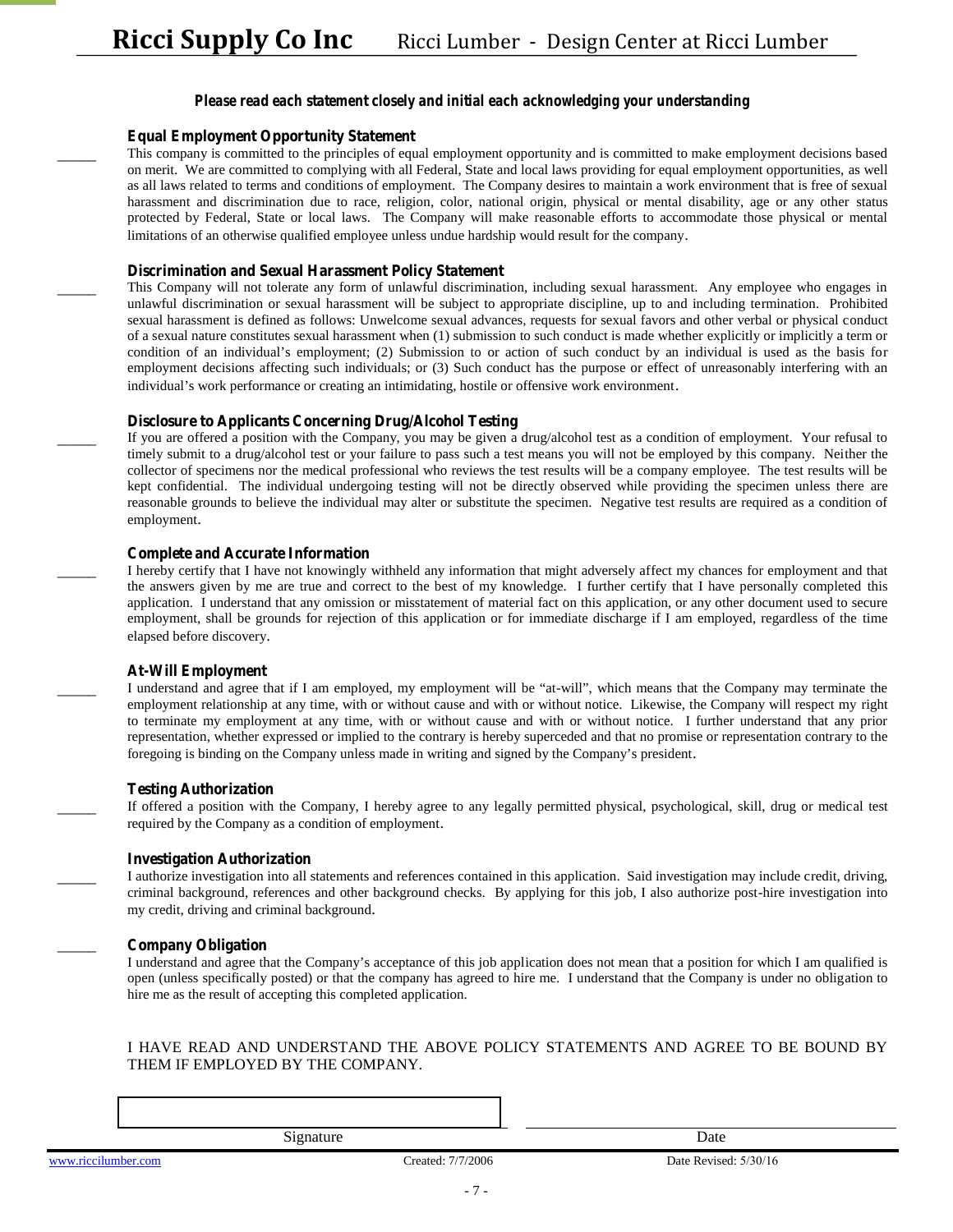#### *Please read each statement closely and initial each acknowledging your understanding*

#### **Equal Employment Opportunity Statement**

This company is committed to the principles of equal employment opportunity and is committed to make employment decisions based on merit. We are committed to complying with all Federal, State and local laws providing for equal employment opportunities, as well as all laws related to terms and conditions of employment. The Company desires to maintain a work environment that is free of sexual harassment and discrimination due to race, religion, color, national origin, physical or mental disability, age or any other status protected by Federal, State or local laws. The Company will make reasonable efforts to accommodate those physical or mental limitations of an otherwise qualified employee unless undue hardship would result for the company.

#### **Discrimination and Sexual Harassment Policy Statement**

\_\_\_\_\_ This Company will not tolerate any form of unlawful discrimination, including sexual harassment. Any employee who engages in unlawful discrimination or sexual harassment will be subject to appropriate discipline, up to and including termination. Prohibited sexual harassment is defined as follows: Unwelcome sexual advances, requests for sexual favors and other verbal or physical conduct of a sexual nature constitutes sexual harassment when (1) submission to such conduct is made whether explicitly or implicitly a term or condition of an individual's employment; (2) Subm ission to or action of such conduct by an individual is used as the basis for employment decisions affecting such individuals; or (3) Such conduct has the purpose or effect of unreasonably interfering with an ind ividual's work perform ance or creating an in tim idating, hostile or offensive work environment.

#### **Disclosure to Applicants Concerning Drug/Alcohol Testing**

If you are offered a position with the Company, you may be given a drug/alcohol test as a condition of employment. Your refusal to timely submit to a drug/alcohol test or your failure to pass such a test means you will not be employed by this company. Neither the collector of specimens nor the medical professional who reviews the test results will be a company employee. The test results will be kept confidential. The individual undergoing testing will not be directly observed while providing the specimen unless there are reasonable grounds to believe the individual may alter or substitute the specimen. Negative test results are required as a condition of employment.

#### **Complete and Accurate Information**

I hereby certify that I have not knowingly withheld any information that might adversely affect my chances for employment and that the answers given by me are true and correct to the best of my knowledge. I further certify that I have personally completed this application. I understand that any omission or misstatement of material fact on this application, or any other document used to secure employment, shall be grounds for rejection of this application or for immediate discharge if I am employed, regardless of the time elapsed before discovery.

#### **At-Will Employment**

I understand and agree that if I am employed, my employment will be "at-will", which means that the C ompany may term inate the employment relationship at any time, with or without cause and with or without notice. Likewise, the Company will respect my right to terminate my employment at any time, with or without cause and with or without notice. I further understand that any prior representation, whether expressed or implied to the contrary is hereby superceded and that no promise or representation contrary to the foregoing is b inding on the C om pany unless m ade in w riting and signed by the C om pany's president.

#### **Testing Authorization**

If offered a position with the Company, I hereby agree to any legally permitted physical, psychological, skill, drug or medical test required by the Company as a condition of employment.

#### **Investigation Authorization**

I authorize investigation into all statements and references contained in this application. Said investigation may include credit, driving, criminal background, references and other background checks. By applying for this job, I also authorize post-hire investigation into my credit, driving and criminal background.

#### \_\_\_\_\_ **Company Obligation**

I understand and agree that the C om pany's acceptance of this job application does not mean that a position for which I am qualified is open (unless specifically posted) or that the company has agreed to hire me. I understand that the Company is under no obligation to hire me as the result of accepting this completed application.

#### I HAVE READ AND UNDERSTAND THE ABOVE POLICY STATEMENTS AND AGREE TO BE BOUND BY THEM IF EMPLOYED BY THE COMPANY.

Signature Date

[www.riccilumber.com](http://www.riccilumber.com/) Created: 7/7/2006 Date Revised: 5/30/16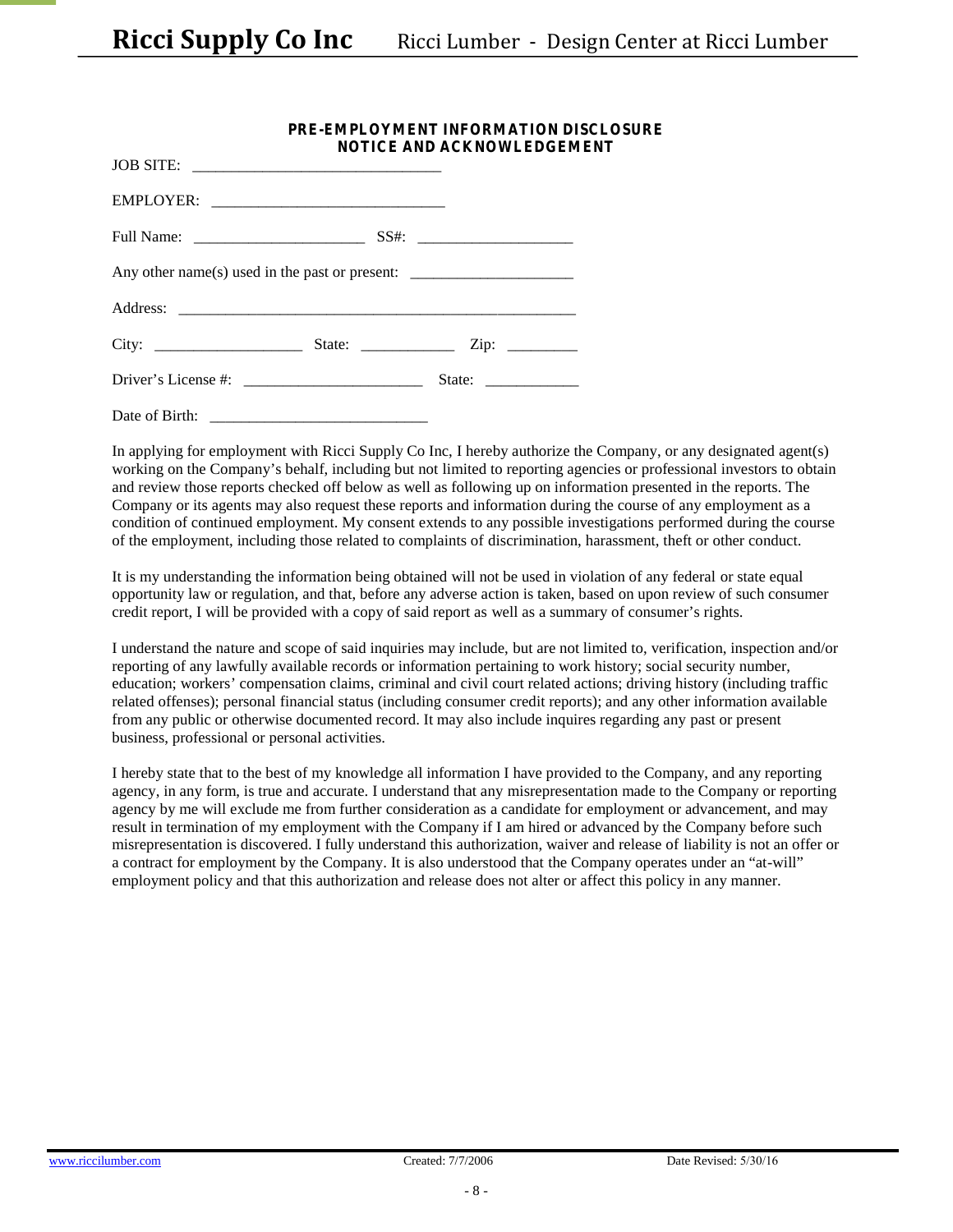|                                                                                   | PRE-EMPLOYMENT INFORMATION DISCLOSURE<br><b>NOTICE AND ACKNOWLEDGEMENT</b> |  |  |  |
|-----------------------------------------------------------------------------------|----------------------------------------------------------------------------|--|--|--|
| JOB SITE:                                                                         |                                                                            |  |  |  |
|                                                                                   |                                                                            |  |  |  |
|                                                                                   |                                                                            |  |  |  |
| Any other name(s) used in the past or present: __________________________________ |                                                                            |  |  |  |
|                                                                                   |                                                                            |  |  |  |
|                                                                                   |                                                                            |  |  |  |
| D river's L icense $\#$ :                                                         |                                                                            |  |  |  |
| Date of Birth:                                                                    |                                                                            |  |  |  |

In applying for employment with Ricci Supply Co Inc, I hereby authorize the Company, or any designated agent(s) w orking on the C om pany's behalf, including but not limited to reporting agencies or professional investors to obtain and review those reports checked off below as well as following up on information presented in the reports. The Company or its agents may also request these reports and information during the course of any employment as a condition of continued employment. My consent extends to any possible investigations performed during the course of the employment, including those related to complaints of discrimination, harassment, theft or other conduct.

It is my understanding the information being obtained will not be used in violation of any federal or state equal opportunity law or regulation, and that, before any adverse action is taken, based on upon review of such consumer credit report, I will be provided with a copy of said report as  $w$  ell as a sum m ary of consumer's rights.

I understand the nature and scope of said inquiries may include, but are not limited to, verification, inspection and/or reporting of any lawfully available records or information pertaining to work history; social security number, education; w orkers' compensation claim s, criminal and civil court related actions; driving history (including traffic related offenses); personal financial status (including consumer credit reports); and any other information available from any public or otherwise documented record. It may also include inquires regarding any past or present business, professional or personal activities.

I hereby state that to the best of my knowledge all information I have provided to the Company, and any reporting agency, in any form, is true and accurate. I understand that any misrepresentation made to the Company or reporting agency by me will exclude me from further consideration as a candidate for employment or advancement, and may result in termination of my employment with the Company if I am hired or advanced by the Company before such misrepresentation is discovered. I fully understand this authorization, waiver and release of liability is not an offer or a contract for employment by the Company. It is also understood that the C om pany operates under an "at-w ill" employment policy and that this authorization and release does not alter or affect this policy in any manner.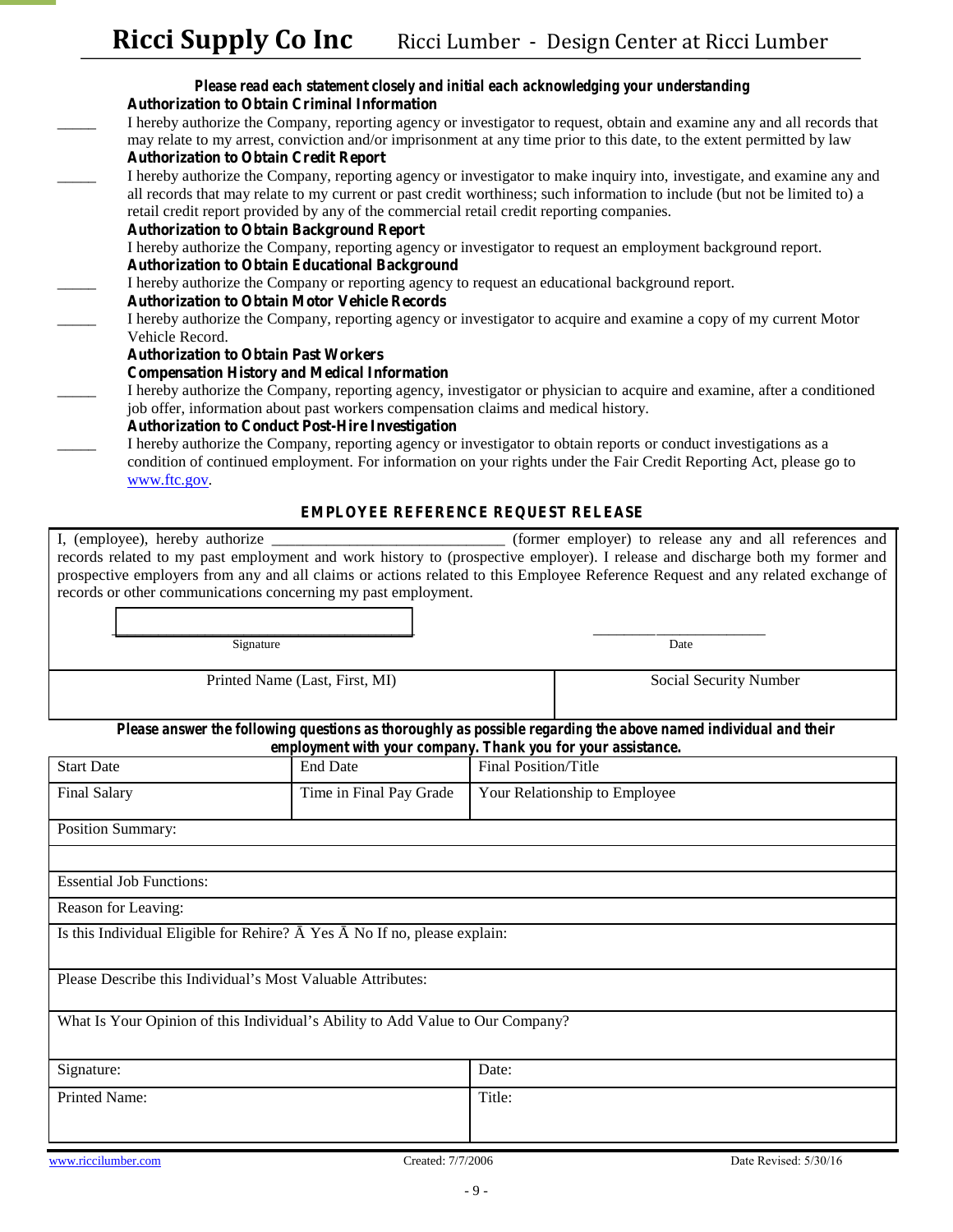- *Please read each statement closely and initial each acknowledging your understanding* **Authorization to Obtain Criminal Information**  \_\_\_\_\_ I hereby authorize the Company, reporting agency or investigator to request, obtain and examine any and all records that may relate to my arrest, conviction and/or imprisonment at any time prior to this date, to the extent permitted by law **Authorization to Obtain Credit Report**  I hereby authorize the Company, reporting agency or investigator to make inquiry into, investigate, and examine any and all records that may relate to my current or past credit worthiness; such information to include (but not be limited to) a retail credit report provided by any of the commercial retail credit reporting companies. **Authorization to Obtain Background Report** I hereby authorize the Company, reporting agency or investigator to request an employment background report. **Authorization to Obtain Educational Background** \_\_\_\_\_ I hereby authorize the Company or reporting agency to request an educational background report. **Authorization to Obtain Motor Vehicle Records**  I hereby authorize the Company, reporting agency or investigator to acquire and examine a copy of my current Motor Vehicle Record. **Authorization to Obtain Past Workers Compensation History and Medical Information**  I hereby authorize the Company, reporting agency, investigator or physician to acquire and examine, after a conditioned job offer, information about past workers compensation claims and medical history. **Authorization to Conduct Post-Hire Investigation**  I hereby authorize the Company, reporting agency or investigator to obtain reports or conduct investigations as a
	- condition of continued employment. For information on your rights under the Fair Credit Reporting Act, please go to [www.ftc.gov.](http://www.ftc.gov/)

#### **EMPLOYEE REFERENCE REQUEST RELEASE**

I, (employee), hereby authorize \_\_\_\_\_\_\_\_\_\_\_\_\_\_\_\_\_\_\_\_\_\_\_\_\_\_\_\_\_\_ (former employer) to release any and all references and records related to my past employment and work history to (prospective employer). I release and discharge both my former and prospective employers from any and all claims or actions related to this Employee Reference Request and any related exchange of records or other communications concerning my past employment.

| Signature                      | Date                          |
|--------------------------------|-------------------------------|
| Printed Name (Last, First, MI) | <b>Social Security Number</b> |

*Please answer the following questions as thoroughly as possible regarding the above named individual and their employment with your company. Thank you for your assistance.* 

| <b>Start Date</b>                                                                       | <b>End Date</b>           | Final Position/Title          |  |  |  |  |  |
|-----------------------------------------------------------------------------------------|---------------------------|-------------------------------|--|--|--|--|--|
| <b>Final Salary</b>                                                                     | Time in Final Pay Grade   | Your Relationship to Employee |  |  |  |  |  |
| <b>Position Summary:</b>                                                                |                           |                               |  |  |  |  |  |
|                                                                                         |                           |                               |  |  |  |  |  |
| <b>Essential Job Functions:</b>                                                         |                           |                               |  |  |  |  |  |
| Reason for Leaving:                                                                     |                           |                               |  |  |  |  |  |
| Is this Individual Eligible for Rehire? Yes                                             | No If no, please explain: |                               |  |  |  |  |  |
| Please D escribe this Individual's M ost V aluable A ttributes:                         |                           |                               |  |  |  |  |  |
| W hat Is Y our 0 pinion of this Individual's A bility to A dd V alue to 0 ur C om pany? |                           |                               |  |  |  |  |  |
| Signature:                                                                              |                           | Date:                         |  |  |  |  |  |
| Printed Name:                                                                           |                           | Title:                        |  |  |  |  |  |